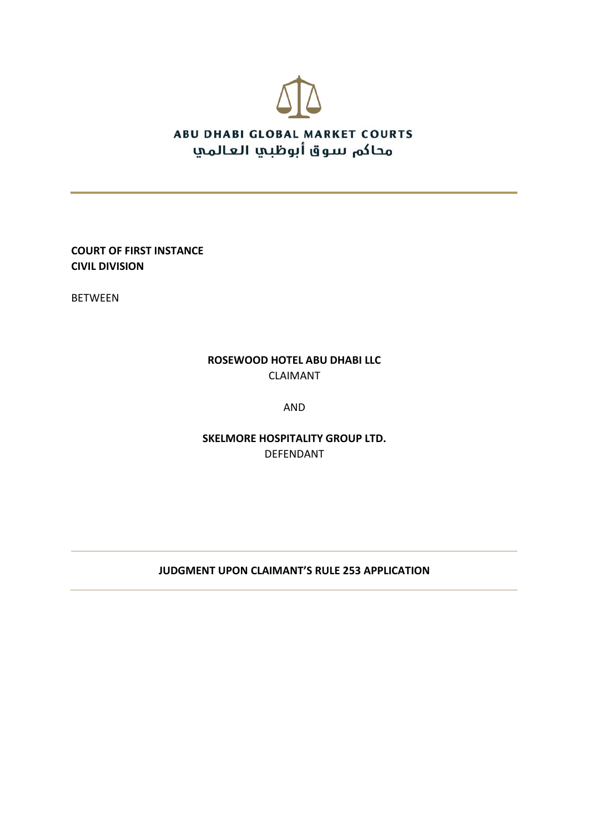

**COURT OF FIRST INSTANCE CIVIL DIVISION**

BETWEEN

# **ROSEWOOD HOTEL ABU DHABI LLC** CLAIMANT

AND

**SKELMORE HOSPITALITY GROUP LTD.** DEFENDANT

### **JUDGMENT UPON CLAIMANT'S RULE 253 APPLICATION**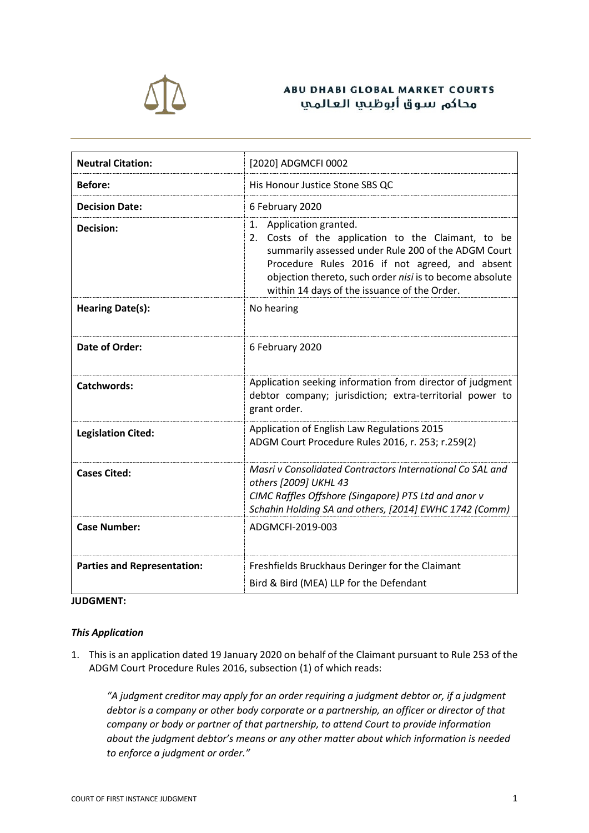

### **ABU DHABI GLOBAL MARKET COURTS** محاكم سوق أبوظيي العالمي

| <b>Neutral Citation:</b>           | [2020] ADGMCFI 0002                                                                                                                                                                                                                                                                                   |
|------------------------------------|-------------------------------------------------------------------------------------------------------------------------------------------------------------------------------------------------------------------------------------------------------------------------------------------------------|
| <b>Before:</b>                     | His Honour Justice Stone SBS QC                                                                                                                                                                                                                                                                       |
| <b>Decision Date:</b>              | 6 February 2020                                                                                                                                                                                                                                                                                       |
| Decision:                          | Application granted.<br>1.<br>2. Costs of the application to the Claimant, to be<br>summarily assessed under Rule 200 of the ADGM Court<br>Procedure Rules 2016 if not agreed, and absent<br>objection thereto, such order nisi is to become absolute<br>within 14 days of the issuance of the Order. |
| <b>Hearing Date(s):</b>            | No hearing                                                                                                                                                                                                                                                                                            |
| Date of Order:                     | 6 February 2020                                                                                                                                                                                                                                                                                       |
| <b>Catchwords:</b>                 | Application seeking information from director of judgment<br>debtor company; jurisdiction; extra-territorial power to<br>grant order.                                                                                                                                                                 |
| <b>Legislation Cited:</b>          | Application of English Law Regulations 2015<br>ADGM Court Procedure Rules 2016, r. 253; r.259(2)                                                                                                                                                                                                      |
| <b>Cases Cited:</b>                | Masri y Consolidated Contractors International Co SAL and<br>others [2009] UKHL 43<br>CIMC Raffles Offshore (Singapore) PTS Ltd and anor v<br>Schahin Holding SA and others, [2014] EWHC 1742 (Comm)                                                                                                  |
| <b>Case Number:</b>                | ADGMCFI-2019-003                                                                                                                                                                                                                                                                                      |
| <b>Parties and Representation:</b> | Freshfields Bruckhaus Deringer for the Claimant<br>Bird & Bird (MEA) LLP for the Defendant                                                                                                                                                                                                            |

#### **JUDGMENT:**

#### *This Application*

1. This is an application dated 19 January 2020 on behalf of the Claimant pursuant to Rule 253 of the ADGM Court Procedure Rules 2016, subsection (1) of which reads:

*"A judgment creditor may apply for an order requiring a judgment debtor or, if a judgment debtor is a company or other body corporate or a partnership, an officer or director of that company or body or partner of that partnership, to attend Court to provide information about the judgment debtor's means or any other matter about which information is needed to enforce a judgment or order."*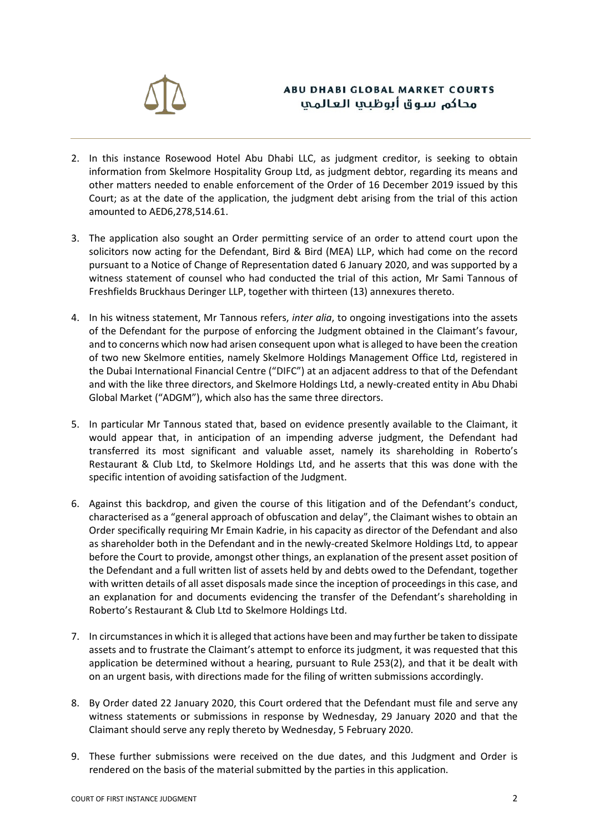

# **ABU DHABI GLOBAL MARKET COURTS** محاكم سوق أبوظيي العالمي

- 2. In this instance Rosewood Hotel Abu Dhabi LLC, as judgment creditor, is seeking to obtain information from Skelmore Hospitality Group Ltd, as judgment debtor, regarding its means and other matters needed to enable enforcement of the Order of 16 December 2019 issued by this Court; as at the date of the application, the judgment debt arising from the trial of this action amounted to AED6,278,514.61.
- 3. The application also sought an Order permitting service of an order to attend court upon the solicitors now acting for the Defendant, Bird & Bird (MEA) LLP, which had come on the record pursuant to a Notice of Change of Representation dated 6 January 2020, and was supported by a witness statement of counsel who had conducted the trial of this action, Mr Sami Tannous of Freshfields Bruckhaus Deringer LLP, together with thirteen (13) annexures thereto.
- 4. In his witness statement, Mr Tannous refers, *inter alia*, to ongoing investigations into the assets of the Defendant for the purpose of enforcing the Judgment obtained in the Claimant's favour, and to concerns which now had arisen consequent upon what is alleged to have been the creation of two new Skelmore entities, namely Skelmore Holdings Management Office Ltd, registered in the Dubai International Financial Centre ("DIFC") at an adjacent address to that of the Defendant and with the like three directors, and Skelmore Holdings Ltd, a newly-created entity in Abu Dhabi Global Market ("ADGM"), which also has the same three directors.
- 5. In particular Mr Tannous stated that, based on evidence presently available to the Claimant, it would appear that, in anticipation of an impending adverse judgment, the Defendant had transferred its most significant and valuable asset, namely its shareholding in Roberto's Restaurant & Club Ltd, to Skelmore Holdings Ltd, and he asserts that this was done with the specific intention of avoiding satisfaction of the Judgment.
- 6. Against this backdrop, and given the course of this litigation and of the Defendant's conduct, characterised as a "general approach of obfuscation and delay", the Claimant wishes to obtain an Order specifically requiring Mr Emain Kadrie, in his capacity as director of the Defendant and also as shareholder both in the Defendant and in the newly-created Skelmore Holdings Ltd, to appear before the Court to provide, amongst other things, an explanation of the present asset position of the Defendant and a full written list of assets held by and debts owed to the Defendant, together with written details of all asset disposals made since the inception of proceedings in this case, and an explanation for and documents evidencing the transfer of the Defendant's shareholding in Roberto's Restaurant & Club Ltd to Skelmore Holdings Ltd.
- 7. In circumstances in which it is alleged that actions have been and may further be taken to dissipate assets and to frustrate the Claimant's attempt to enforce its judgment, it was requested that this application be determined without a hearing, pursuant to Rule 253(2), and that it be dealt with on an urgent basis, with directions made for the filing of written submissions accordingly.
- 8. By Order dated 22 January 2020, this Court ordered that the Defendant must file and serve any witness statements or submissions in response by Wednesday, 29 January 2020 and that the Claimant should serve any reply thereto by Wednesday, 5 February 2020.
- 9. These further submissions were received on the due dates, and this Judgment and Order is rendered on the basis of the material submitted by the parties in this application.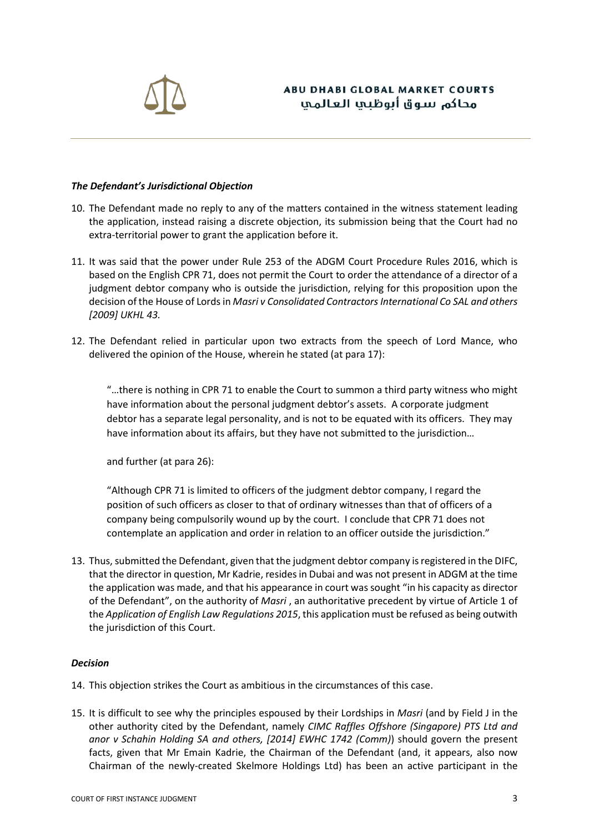

#### *The Defendant's Jurisdictional Objection*

- 10. The Defendant made no reply to any of the matters contained in the witness statement leading the application, instead raising a discrete objection, its submission being that the Court had no extra-territorial power to grant the application before it.
- 11. It was said that the power under Rule 253 of the ADGM Court Procedure Rules 2016, which is based on the English CPR 71, does not permit the Court to order the attendance of a director of a judgment debtor company who is outside the jurisdiction, relying for this proposition upon the decision of the House of Lords in *Masri v Consolidated Contractors International Co SAL and others [2009] UKHL 43.*
- 12. The Defendant relied in particular upon two extracts from the speech of Lord Mance, who delivered the opinion of the House, wherein he stated (at para 17):

"…there is nothing in CPR 71 to enable the Court to summon a third party witness who might have information about the personal judgment debtor's assets. A corporate judgment debtor has a separate legal personality, and is not to be equated with its officers. They may have information about its affairs, but they have not submitted to the jurisdiction…

and further (at para 26):

"Although CPR 71 is limited to officers of the judgment debtor company, I regard the position of such officers as closer to that of ordinary witnesses than that of officers of a company being compulsorily wound up by the court. I conclude that CPR 71 does not contemplate an application and order in relation to an officer outside the jurisdiction."

13. Thus, submitted the Defendant, given that the judgment debtor company is registered in the DIFC, that the director in question, Mr Kadrie, resides in Dubai and was not present in ADGM at the time the application was made, and that his appearance in court was sought "in his capacity as director of the Defendant", on the authority of *Masri* , an authoritative precedent by virtue of Article 1 of the *Application of English Law Regulations 2015*, this application must be refused as being outwith the jurisdiction of this Court.

#### *Decision*

- 14. This objection strikes the Court as ambitious in the circumstances of this case.
- 15. It is difficult to see why the principles espoused by their Lordships in *Masri* (and by Field J in the other authority cited by the Defendant, namely *CIMC Raffles Offshore (Singapore) PTS Ltd and anor v Schahin Holding SA and others, [2014] EWHC 1742 (Comm)*) should govern the present facts, given that Mr Emain Kadrie, the Chairman of the Defendant (and, it appears, also now Chairman of the newly-created Skelmore Holdings Ltd) has been an active participant in the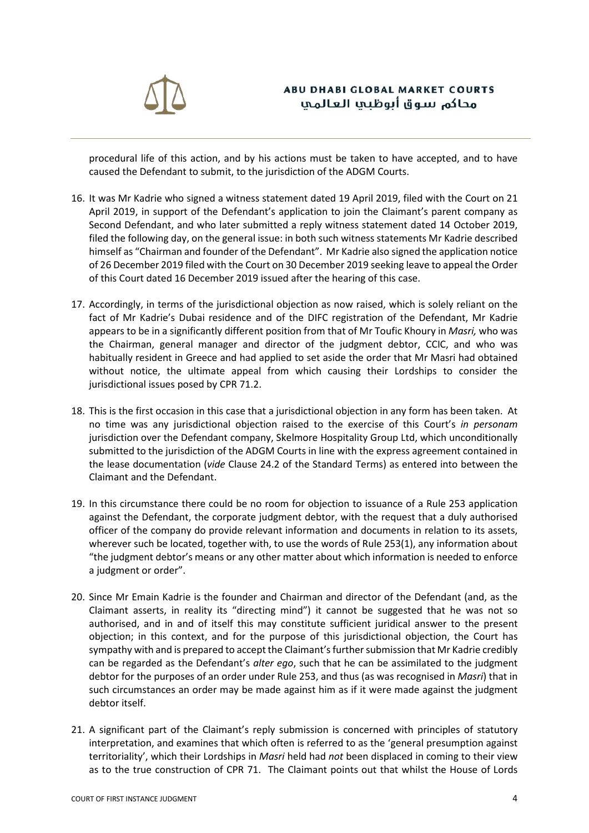

procedural life of this action, and by his actions must be taken to have accepted, and to have caused the Defendant to submit, to the jurisdiction of the ADGM Courts.

- 16. It was Mr Kadrie who signed a witness statement dated 19 April 2019, filed with the Court on 21 April 2019, in support of the Defendant's application to join the Claimant's parent company as Second Defendant, and who later submitted a reply witness statement dated 14 October 2019, filed the following day, on the general issue: in both such witness statements Mr Kadrie described himself as "Chairman and founder of the Defendant". Mr Kadrie also signed the application notice of 26 December 2019 filed with the Court on 30 December 2019 seeking leave to appeal the Order of this Court dated 16 December 2019 issued after the hearing of this case.
- 17. Accordingly, in terms of the jurisdictional objection as now raised, which is solely reliant on the fact of Mr Kadrie's Dubai residence and of the DIFC registration of the Defendant, Mr Kadrie appears to be in a significantly different position from that of Mr Toufic Khoury in *Masri,* who was the Chairman, general manager and director of the judgment debtor, CCIC, and who was habitually resident in Greece and had applied to set aside the order that Mr Masri had obtained without notice, the ultimate appeal from which causing their Lordships to consider the jurisdictional issues posed by CPR 71.2.
- 18. This is the first occasion in this case that a jurisdictional objection in any form has been taken. At no time was any jurisdictional objection raised to the exercise of this Court's *in personam* jurisdiction over the Defendant company, Skelmore Hospitality Group Ltd, which unconditionally submitted to the jurisdiction of the ADGM Courts in line with the express agreement contained in the lease documentation (*vide* Clause 24.2 of the Standard Terms) as entered into between the Claimant and the Defendant.
- 19. In this circumstance there could be no room for objection to issuance of a Rule 253 application against the Defendant, the corporate judgment debtor, with the request that a duly authorised officer of the company do provide relevant information and documents in relation to its assets, wherever such be located, together with, to use the words of Rule 253(1), any information about "the judgment debtor's means or any other matter about which information is needed to enforce a judgment or order".
- 20. Since Mr Emain Kadrie is the founder and Chairman and director of the Defendant (and, as the Claimant asserts, in reality its "directing mind") it cannot be suggested that he was not so authorised, and in and of itself this may constitute sufficient juridical answer to the present objection; in this context, and for the purpose of this jurisdictional objection, the Court has sympathy with and is prepared to accept the Claimant's further submission that Mr Kadrie credibly can be regarded as the Defendant's *alter ego*, such that he can be assimilated to the judgment debtor for the purposes of an order under Rule 253, and thus (as was recognised in *Masri*) that in such circumstances an order may be made against him as if it were made against the judgment debtor itself.
- 21. A significant part of the Claimant's reply submission is concerned with principles of statutory interpretation, and examines that which often is referred to as the 'general presumption against territoriality', which their Lordships in *Masri* held had *not* been displaced in coming to their view as to the true construction of CPR 71. The Claimant points out that whilst the House of Lords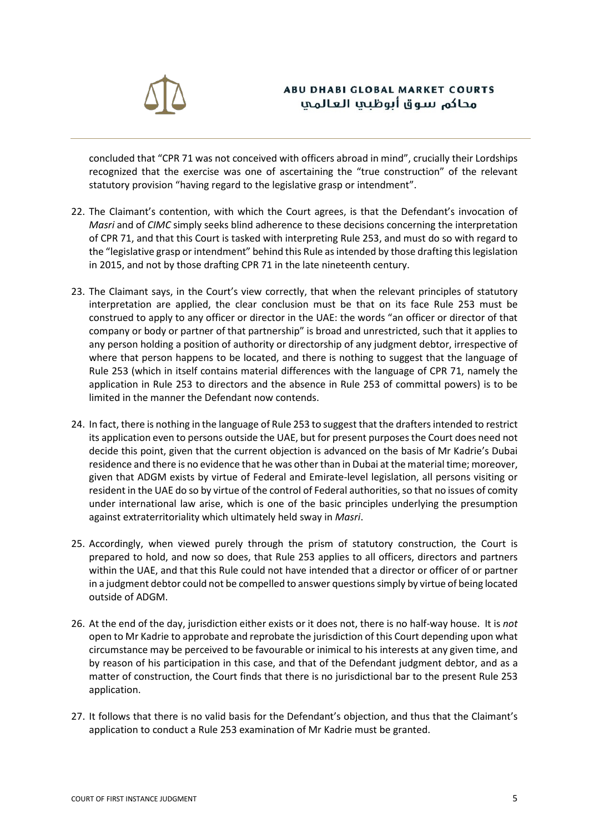

concluded that "CPR 71 was not conceived with officers abroad in mind", crucially their Lordships recognized that the exercise was one of ascertaining the "true construction" of the relevant statutory provision "having regard to the legislative grasp or intendment".

- 22. The Claimant's contention, with which the Court agrees, is that the Defendant's invocation of *Masri* and of *CIMC* simply seeks blind adherence to these decisions concerning the interpretation of CPR 71, and that this Court is tasked with interpreting Rule 253, and must do so with regard to the "legislative grasp or intendment" behind this Rule as intended by those drafting this legislation in 2015, and not by those drafting CPR 71 in the late nineteenth century.
- 23. The Claimant says, in the Court's view correctly, that when the relevant principles of statutory interpretation are applied, the clear conclusion must be that on its face Rule 253 must be construed to apply to any officer or director in the UAE: the words "an officer or director of that company or body or partner of that partnership" is broad and unrestricted, such that it applies to any person holding a position of authority or directorship of any judgment debtor, irrespective of where that person happens to be located, and there is nothing to suggest that the language of Rule 253 (which in itself contains material differences with the language of CPR 71, namely the application in Rule 253 to directors and the absence in Rule 253 of committal powers) is to be limited in the manner the Defendant now contends.
- 24. In fact, there is nothing in the language of Rule 253 to suggest that the drafters intended to restrict its application even to persons outside the UAE, but for present purposes the Court does need not decide this point, given that the current objection is advanced on the basis of Mr Kadrie's Dubai residence and there is no evidence that he was other than in Dubai at the material time; moreover, given that ADGM exists by virtue of Federal and Emirate-level legislation, all persons visiting or resident in the UAE do so by virtue of the control of Federal authorities, so that no issues of comity under international law arise, which is one of the basic principles underlying the presumption against extraterritoriality which ultimately held sway in *Masri*.
- 25. Accordingly, when viewed purely through the prism of statutory construction, the Court is prepared to hold, and now so does, that Rule 253 applies to all officers, directors and partners within the UAE, and that this Rule could not have intended that a director or officer of or partner in a judgment debtor could not be compelled to answer questions simply by virtue of being located outside of ADGM.
- 26. At the end of the day, jurisdiction either exists or it does not, there is no half-way house. It is *not* open to Mr Kadrie to approbate and reprobate the jurisdiction of this Court depending upon what circumstance may be perceived to be favourable or inimical to his interests at any given time, and by reason of his participation in this case, and that of the Defendant judgment debtor, and as a matter of construction, the Court finds that there is no jurisdictional bar to the present Rule 253 application.
- 27. It follows that there is no valid basis for the Defendant's objection, and thus that the Claimant's application to conduct a Rule 253 examination of Mr Kadrie must be granted.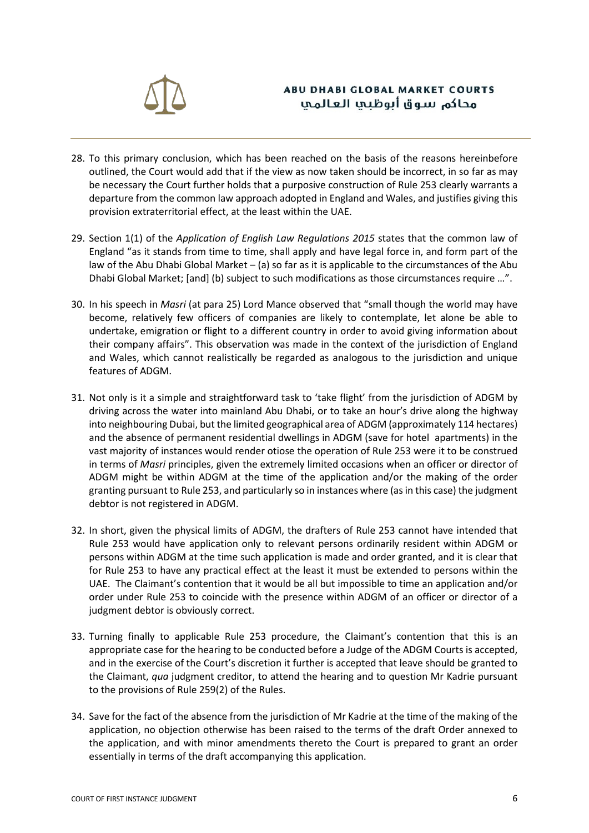

# **ABU DHABI GLOBAL MARKET COURTS** محاكم سوق أبوظيها العالمي

- 28. To this primary conclusion, which has been reached on the basis of the reasons hereinbefore outlined, the Court would add that if the view as now taken should be incorrect, in so far as may be necessary the Court further holds that a purposive construction of Rule 253 clearly warrants a departure from the common law approach adopted in England and Wales, and justifies giving this provision extraterritorial effect, at the least within the UAE.
- 29. Section 1(1) of the *Application of English Law Regulations 2015* states that the common law of England "as it stands from time to time, shall apply and have legal force in, and form part of the law of the Abu Dhabi Global Market – (a) so far as it is applicable to the circumstances of the Abu Dhabi Global Market; [and] (b) subject to such modifications as those circumstances require …".
- 30. In his speech in *Masri* (at para 25) Lord Mance observed that "small though the world may have become, relatively few officers of companies are likely to contemplate, let alone be able to undertake, emigration or flight to a different country in order to avoid giving information about their company affairs". This observation was made in the context of the jurisdiction of England and Wales, which cannot realistically be regarded as analogous to the jurisdiction and unique features of ADGM.
- 31. Not only is it a simple and straightforward task to 'take flight' from the jurisdiction of ADGM by driving across the water into mainland Abu Dhabi, or to take an hour's drive along the highway into neighbouring Dubai, but the limited geographical area of ADGM (approximately 114 hectares) and the absence of permanent residential dwellings in ADGM (save for hotel apartments) in the vast majority of instances would render otiose the operation of Rule 253 were it to be construed in terms of *Masri* principles, given the extremely limited occasions when an officer or director of ADGM might be within ADGM at the time of the application and/or the making of the order granting pursuant to Rule 253, and particularly so in instances where (as in this case) the judgment debtor is not registered in ADGM.
- 32. In short, given the physical limits of ADGM, the drafters of Rule 253 cannot have intended that Rule 253 would have application only to relevant persons ordinarily resident within ADGM or persons within ADGM at the time such application is made and order granted, and it is clear that for Rule 253 to have any practical effect at the least it must be extended to persons within the UAE. The Claimant's contention that it would be all but impossible to time an application and/or order under Rule 253 to coincide with the presence within ADGM of an officer or director of a judgment debtor is obviously correct.
- 33. Turning finally to applicable Rule 253 procedure, the Claimant's contention that this is an appropriate case for the hearing to be conducted before a Judge of the ADGM Courts is accepted, and in the exercise of the Court's discretion it further is accepted that leave should be granted to the Claimant, *qua* judgment creditor, to attend the hearing and to question Mr Kadrie pursuant to the provisions of Rule 259(2) of the Rules.
- 34. Save for the fact of the absence from the jurisdiction of Mr Kadrie at the time of the making of the application, no objection otherwise has been raised to the terms of the draft Order annexed to the application, and with minor amendments thereto the Court is prepared to grant an order essentially in terms of the draft accompanying this application.